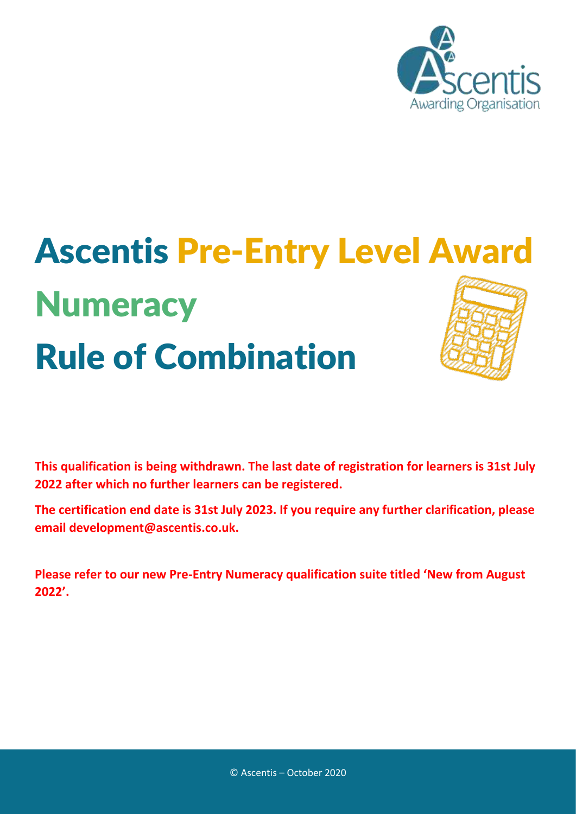

# Ascentis Pre-Entry Level Award **Numeracy** Rule of Combination

**This qualification is being withdrawn. The last date of registration for learners is 31st July 2022 after which no further learners can be registered.**

**The certification end date is 31st July 2023. If you require any further clarification, please email development@ascentis.co.uk.**

**Please refer to our new Pre-Entry Numeracy qualification suite titled 'New from August 2022'.**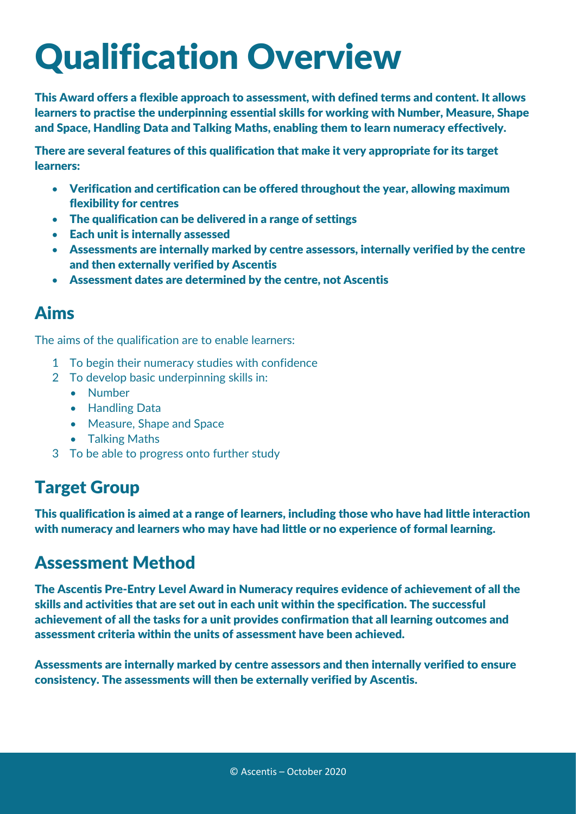### Qualification Overview

This Award offers a flexible approach to assessment, with defined terms and content. It allows learners to practise the underpinning essential skills for working with Number, Measure, Shape and Space, Handling Data and Talking Maths, enabling them to learn numeracy effectively.

There are several features of this qualification that make it very appropriate for its target learners:

- Verification and certification can be offered throughout the year, allowing maximum flexibility for centres
- The qualification can be delivered in a range of settings
- Each unit is internally assessed
- Assessments are internally marked by centre assessors, internally verified by the centre and then externally verified by Ascentis
- Assessment dates are determined by the centre, not Ascentis

### Aims

The aims of the qualification are to enable learners:

- 1 To begin their numeracy studies with confidence
- 2 To develop basic underpinning skills in:
	- Number
	- Handling Data
	- Measure, Shape and Space
	- Talking Maths
- 3 To be able to progress onto further study

### Target Group

This qualification is aimed at a range of learners, including those who have had little interaction with numeracy and learners who may have had little or no experience of formal learning.

#### Assessment Method

The Ascentis Pre-Entry Level Award in Numeracy requires evidence of achievement of all the skills and activities that are set out in each unit within the specification. The successful achievement of all the tasks for a unit provides confirmation that all learning outcomes and assessment criteria within the units of assessment have been achieved.

Assessments are internally marked by centre assessors and then internally verified to ensure consistency. The assessments will then be externally verified by Ascentis.